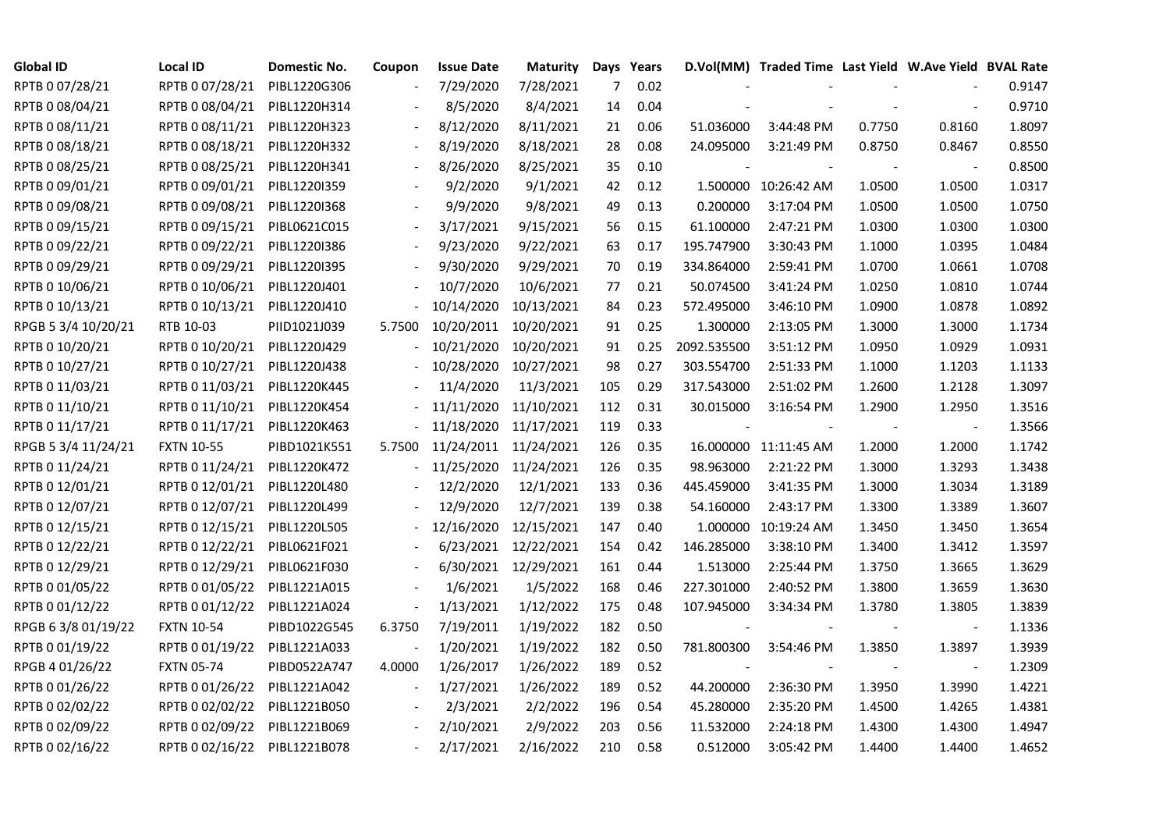| <b>Global ID</b>    | <b>Local ID</b>   | Domestic No. | Coupon                   | <b>Issue Date</b> | <b>Maturity</b>       |     | Days Years |             | D.Vol(MM) Traded Time Last Yield W.Ave Yield BVAL Rate |        |                          |        |
|---------------------|-------------------|--------------|--------------------------|-------------------|-----------------------|-----|------------|-------------|--------------------------------------------------------|--------|--------------------------|--------|
| RPTB 0 07/28/21     | RPTB 0 07/28/21   | PIBL1220G306 |                          | 7/29/2020         | 7/28/2021             | 7   | 0.02       |             |                                                        |        |                          | 0.9147 |
| RPTB 0 08/04/21     | RPTB 0 08/04/21   | PIBL1220H314 |                          | 8/5/2020          | 8/4/2021              | 14  | 0.04       |             |                                                        |        |                          | 0.9710 |
| RPTB 0 08/11/21     | RPTB 0 08/11/21   | PIBL1220H323 |                          | 8/12/2020         | 8/11/2021             | 21  | 0.06       | 51.036000   | 3:44:48 PM                                             | 0.7750 | 0.8160                   | 1.8097 |
| RPTB 0 08/18/21     | RPTB 0 08/18/21   | PIBL1220H332 | $\blacksquare$           | 8/19/2020         | 8/18/2021             | 28  | 0.08       | 24.095000   | 3:21:49 PM                                             | 0.8750 | 0.8467                   | 0.8550 |
| RPTB 0 08/25/21     | RPTB 0 08/25/21   | PIBL1220H341 |                          | 8/26/2020         | 8/25/2021             | 35  | 0.10       |             |                                                        |        |                          | 0.8500 |
| RPTB 0 09/01/21     | RPTB 0 09/01/21   | PIBL12201359 |                          | 9/2/2020          | 9/1/2021              | 42  | 0.12       |             | 1.500000 10:26:42 AM                                   | 1.0500 | 1.0500                   | 1.0317 |
| RPTB 0 09/08/21     | RPTB 0 09/08/21   | PIBL1220I368 |                          | 9/9/2020          | 9/8/2021              | 49  | 0.13       | 0.200000    | 3:17:04 PM                                             | 1.0500 | 1.0500                   | 1.0750 |
| RPTB 0 09/15/21     | RPTB 0 09/15/21   | PIBL0621C015 |                          | 3/17/2021         | 9/15/2021             | 56  | 0.15       | 61.100000   | 2:47:21 PM                                             | 1.0300 | 1.0300                   | 1.0300 |
| RPTB 0 09/22/21     | RPTB 0 09/22/21   | PIBL1220I386 |                          | 9/23/2020         | 9/22/2021             | 63  | 0.17       | 195.747900  | 3:30:43 PM                                             | 1.1000 | 1.0395                   | 1.0484 |
| RPTB 0 09/29/21     | RPTB 0 09/29/21   | PIBL1220I395 |                          | 9/30/2020         | 9/29/2021             | 70  | 0.19       | 334.864000  | 2:59:41 PM                                             | 1.0700 | 1.0661                   | 1.0708 |
| RPTB 0 10/06/21     | RPTB 0 10/06/21   | PIBL1220J401 |                          | 10/7/2020         | 10/6/2021             | 77  | 0.21       | 50.074500   | 3:41:24 PM                                             | 1.0250 | 1.0810                   | 1.0744 |
| RPTB 0 10/13/21     | RPTB 0 10/13/21   | PIBL1220J410 |                          | 10/14/2020        | 10/13/2021            | 84  | 0.23       | 572.495000  | 3:46:10 PM                                             | 1.0900 | 1.0878                   | 1.0892 |
| RPGB 5 3/4 10/20/21 | RTB 10-03         | PIID1021J039 | 5.7500                   |                   | 10/20/2011 10/20/2021 | 91  | 0.25       | 1.300000    | 2:13:05 PM                                             | 1.3000 | 1.3000                   | 1.1734 |
| RPTB 0 10/20/21     | RPTB 0 10/20/21   | PIBL1220J429 |                          | 10/21/2020        | 10/20/2021            | 91  | 0.25       | 2092.535500 | 3:51:12 PM                                             | 1.0950 | 1.0929                   | 1.0931 |
| RPTB 0 10/27/21     | RPTB 0 10/27/21   | PIBL1220J438 |                          | 10/28/2020        | 10/27/2021            | 98  | 0.27       | 303.554700  | 2:51:33 PM                                             | 1.1000 | 1.1203                   | 1.1133 |
| RPTB 0 11/03/21     | RPTB 0 11/03/21   | PIBL1220K445 |                          | 11/4/2020         | 11/3/2021             | 105 | 0.29       | 317.543000  | 2:51:02 PM                                             | 1.2600 | 1.2128                   | 1.3097 |
| RPTB 0 11/10/21     | RPTB 0 11/10/21   | PIBL1220K454 |                          | 11/11/2020        | 11/10/2021            | 112 | 0.31       | 30.015000   | 3:16:54 PM                                             | 1.2900 | 1.2950                   | 1.3516 |
| RPTB 0 11/17/21     | RPTB 0 11/17/21   | PIBL1220K463 |                          | 11/18/2020        | 11/17/2021            | 119 | 0.33       |             |                                                        |        |                          | 1.3566 |
| RPGB 5 3/4 11/24/21 | <b>FXTN 10-55</b> | PIBD1021K551 | 5.7500                   | 11/24/2011        | 11/24/2021            | 126 | 0.35       |             | 16.000000 11:11:45 AM                                  | 1.2000 | 1.2000                   | 1.1742 |
| RPTB 0 11/24/21     | RPTB 0 11/24/21   | PIBL1220K472 |                          | 11/25/2020        | 11/24/2021            | 126 | 0.35       | 98.963000   | 2:21:22 PM                                             | 1.3000 | 1.3293                   | 1.3438 |
| RPTB 0 12/01/21     | RPTB 0 12/01/21   | PIBL1220L480 |                          | 12/2/2020         | 12/1/2021             | 133 | 0.36       | 445.459000  | 3:41:35 PM                                             | 1.3000 | 1.3034                   | 1.3189 |
| RPTB 0 12/07/21     | RPTB 0 12/07/21   | PIBL1220L499 |                          | 12/9/2020         | 12/7/2021             | 139 | 0.38       | 54.160000   | 2:43:17 PM                                             | 1.3300 | 1.3389                   | 1.3607 |
| RPTB 0 12/15/21     | RPTB 0 12/15/21   | PIBL1220L505 |                          | 12/16/2020        | 12/15/2021            | 147 | 0.40       | 1.000000    | 10:19:24 AM                                            | 1.3450 | 1.3450                   | 1.3654 |
| RPTB 0 12/22/21     | RPTB 0 12/22/21   | PIBL0621F021 |                          | 6/23/2021         | 12/22/2021            | 154 | 0.42       | 146.285000  | 3:38:10 PM                                             | 1.3400 | 1.3412                   | 1.3597 |
| RPTB 0 12/29/21     | RPTB 0 12/29/21   | PIBL0621F030 | $\overline{\phantom{a}}$ |                   | 6/30/2021 12/29/2021  | 161 | 0.44       | 1.513000    | 2:25:44 PM                                             | 1.3750 | 1.3665                   | 1.3629 |
| RPTB 0 01/05/22     | RPTB 0 01/05/22   | PIBL1221A015 |                          | 1/6/2021          | 1/5/2022              | 168 | 0.46       | 227.301000  | 2:40:52 PM                                             | 1.3800 | 1.3659                   | 1.3630 |
| RPTB 0 01/12/22     | RPTB 0 01/12/22   | PIBL1221A024 | $\blacksquare$           | 1/13/2021         | 1/12/2022             | 175 | 0.48       | 107.945000  | 3:34:34 PM                                             | 1.3780 | 1.3805                   | 1.3839 |
| RPGB 6 3/8 01/19/22 | <b>FXTN 10-54</b> | PIBD1022G545 | 6.3750                   | 7/19/2011         | 1/19/2022             | 182 | 0.50       |             |                                                        |        | $\overline{\phantom{a}}$ | 1.1336 |
| RPTB 0 01/19/22     | RPTB 0 01/19/22   | PIBL1221A033 |                          | 1/20/2021         | 1/19/2022             | 182 | 0.50       | 781.800300  | 3:54:46 PM                                             | 1.3850 | 1.3897                   | 1.3939 |
| RPGB 4 01/26/22     | <b>FXTN 05-74</b> | PIBD0522A747 | 4.0000                   | 1/26/2017         | 1/26/2022             | 189 | 0.52       |             |                                                        |        |                          | 1.2309 |
| RPTB 0 01/26/22     | RPTB 0 01/26/22   | PIBL1221A042 | $\overline{\phantom{a}}$ | 1/27/2021         | 1/26/2022             | 189 | 0.52       | 44.200000   | 2:36:30 PM                                             | 1.3950 | 1.3990                   | 1.4221 |
| RPTB 0 02/02/22     | RPTB 0 02/02/22   | PIBL1221B050 |                          | 2/3/2021          | 2/2/2022              | 196 | 0.54       | 45.280000   | 2:35:20 PM                                             | 1.4500 | 1.4265                   | 1.4381 |
| RPTB 0 02/09/22     | RPTB 0 02/09/22   | PIBL1221B069 |                          | 2/10/2021         | 2/9/2022              | 203 | 0.56       | 11.532000   | 2:24:18 PM                                             | 1.4300 | 1.4300                   | 1.4947 |
| RPTB 0 02/16/22     | RPTB 0 02/16/22   | PIBL1221B078 |                          | 2/17/2021         | 2/16/2022             | 210 | 0.58       | 0.512000    | 3:05:42 PM                                             | 1.4400 | 1.4400                   | 1.4652 |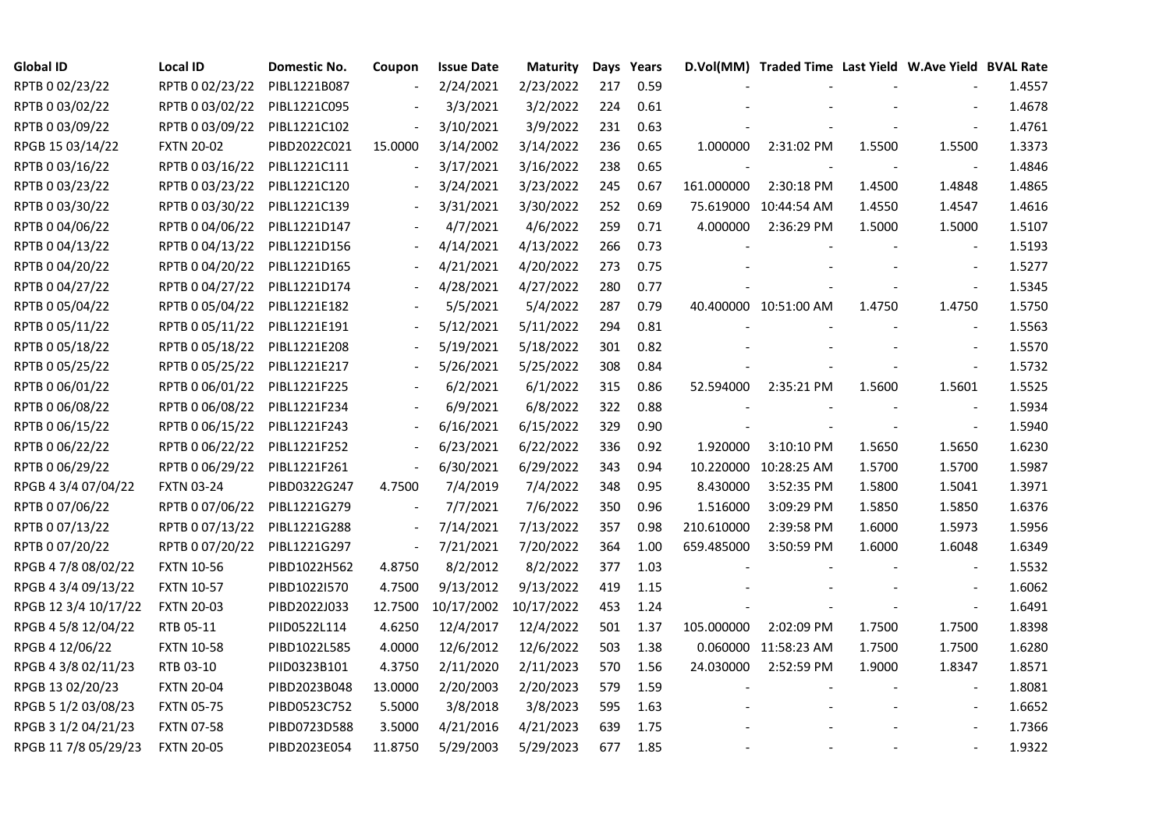| <b>Global ID</b>     | <b>Local ID</b>   | Domestic No. | Coupon                   | <b>Issue Date</b>     | <b>Maturity</b> |     | Days Years |            | D.Vol(MM) Traded Time Last Yield W.Ave Yield BVAL Rate |        |                          |        |
|----------------------|-------------------|--------------|--------------------------|-----------------------|-----------------|-----|------------|------------|--------------------------------------------------------|--------|--------------------------|--------|
| RPTB 0 02/23/22      | RPTB 0 02/23/22   | PIBL1221B087 |                          | 2/24/2021             | 2/23/2022       | 217 | 0.59       |            |                                                        |        |                          | 1.4557 |
| RPTB 0 03/02/22      | RPTB 0 03/02/22   | PIBL1221C095 |                          | 3/3/2021              | 3/2/2022        | 224 | 0.61       |            |                                                        |        |                          | 1.4678 |
| RPTB 0 03/09/22      | RPTB 0 03/09/22   | PIBL1221C102 | $\overline{\phantom{a}}$ | 3/10/2021             | 3/9/2022        | 231 | 0.63       |            |                                                        |        |                          | 1.4761 |
| RPGB 15 03/14/22     | <b>FXTN 20-02</b> | PIBD2022C021 | 15.0000                  | 3/14/2002             | 3/14/2022       | 236 | 0.65       | 1.000000   | 2:31:02 PM                                             | 1.5500 | 1.5500                   | 1.3373 |
| RPTB 0 03/16/22      | RPTB 0 03/16/22   | PIBL1221C111 | $\Box$                   | 3/17/2021             | 3/16/2022       | 238 | 0.65       |            |                                                        |        |                          | 1.4846 |
| RPTB 0 03/23/22      | RPTB 0 03/23/22   | PIBL1221C120 |                          | 3/24/2021             | 3/23/2022       | 245 | 0.67       | 161.000000 | 2:30:18 PM                                             | 1.4500 | 1.4848                   | 1.4865 |
| RPTB 0 03/30/22      | RPTB 0 03/30/22   | PIBL1221C139 | $\blacksquare$           | 3/31/2021             | 3/30/2022       | 252 | 0.69       |            | 75.619000 10:44:54 AM                                  | 1.4550 | 1.4547                   | 1.4616 |
| RPTB 0 04/06/22      | RPTB 0 04/06/22   | PIBL1221D147 |                          | 4/7/2021              | 4/6/2022        | 259 | 0.71       | 4.000000   | 2:36:29 PM                                             | 1.5000 | 1.5000                   | 1.5107 |
| RPTB 0 04/13/22      | RPTB 0 04/13/22   | PIBL1221D156 |                          | 4/14/2021             | 4/13/2022       | 266 | 0.73       |            |                                                        |        |                          | 1.5193 |
| RPTB 0 04/20/22      | RPTB 0 04/20/22   | PIBL1221D165 | $\overline{\phantom{a}}$ | 4/21/2021             | 4/20/2022       | 273 | 0.75       |            |                                                        |        |                          | 1.5277 |
| RPTB 0 04/27/22      | RPTB 0 04/27/22   | PIBL1221D174 | $\overline{\phantom{a}}$ | 4/28/2021             | 4/27/2022       | 280 | 0.77       |            |                                                        |        | $\overline{\phantom{a}}$ | 1.5345 |
| RPTB 0 05/04/22      | RPTB 0 05/04/22   | PIBL1221E182 |                          | 5/5/2021              | 5/4/2022        | 287 | 0.79       |            | 40.400000 10:51:00 AM                                  | 1.4750 | 1.4750                   | 1.5750 |
| RPTB 0 05/11/22      | RPTB 0 05/11/22   | PIBL1221E191 |                          | 5/12/2021             | 5/11/2022       | 294 | 0.81       |            |                                                        |        |                          | 1.5563 |
| RPTB 0 05/18/22      | RPTB 0 05/18/22   | PIBL1221E208 |                          | 5/19/2021             | 5/18/2022       | 301 | 0.82       |            |                                                        |        | $\blacksquare$           | 1.5570 |
| RPTB 0 05/25/22      | RPTB 0 05/25/22   | PIBL1221E217 |                          | 5/26/2021             | 5/25/2022       | 308 | 0.84       |            |                                                        |        | $\overline{\phantom{a}}$ | 1.5732 |
| RPTB 0 06/01/22      | RPTB 0 06/01/22   | PIBL1221F225 |                          | 6/2/2021              | 6/1/2022        | 315 | 0.86       | 52.594000  | 2:35:21 PM                                             | 1.5600 | 1.5601                   | 1.5525 |
| RPTB 0 06/08/22      | RPTB 0 06/08/22   | PIBL1221F234 |                          | 6/9/2021              | 6/8/2022        | 322 | 0.88       |            |                                                        |        |                          | 1.5934 |
| RPTB 0 06/15/22      | RPTB 0 06/15/22   | PIBL1221F243 | $\blacksquare$           | 6/16/2021             | 6/15/2022       | 329 | 0.90       |            |                                                        |        | $\overline{\phantom{a}}$ | 1.5940 |
| RPTB 0 06/22/22      | RPTB 0 06/22/22   | PIBL1221F252 | $\frac{1}{2}$            | 6/23/2021             | 6/22/2022       | 336 | 0.92       | 1.920000   | 3:10:10 PM                                             | 1.5650 | 1.5650                   | 1.6230 |
| RPTB 0 06/29/22      | RPTB 0 06/29/22   | PIBL1221F261 | $\blacksquare$           | 6/30/2021             | 6/29/2022       | 343 | 0.94       |            | 10.220000 10:28:25 AM                                  | 1.5700 | 1.5700                   | 1.5987 |
| RPGB 4 3/4 07/04/22  | <b>FXTN 03-24</b> | PIBD0322G247 | 4.7500                   | 7/4/2019              | 7/4/2022        | 348 | 0.95       | 8.430000   | 3:52:35 PM                                             | 1.5800 | 1.5041                   | 1.3971 |
| RPTB 0 07/06/22      | RPTB 0 07/06/22   | PIBL1221G279 |                          | 7/7/2021              | 7/6/2022        | 350 | 0.96       | 1.516000   | 3:09:29 PM                                             | 1.5850 | 1.5850                   | 1.6376 |
| RPTB 0 07/13/22      | RPTB 0 07/13/22   | PIBL1221G288 |                          | 7/14/2021             | 7/13/2022       | 357 | 0.98       | 210.610000 | 2:39:58 PM                                             | 1.6000 | 1.5973                   | 1.5956 |
| RPTB 0 07/20/22      | RPTB 0 07/20/22   | PIBL1221G297 | $\blacksquare$           | 7/21/2021             | 7/20/2022       | 364 | 1.00       | 659.485000 | 3:50:59 PM                                             | 1.6000 | 1.6048                   | 1.6349 |
| RPGB 4 7/8 08/02/22  | <b>FXTN 10-56</b> | PIBD1022H562 | 4.8750                   | 8/2/2012              | 8/2/2022        | 377 | 1.03       |            |                                                        |        | $\overline{\phantom{a}}$ | 1.5532 |
| RPGB 4 3/4 09/13/22  | <b>FXTN 10-57</b> | PIBD1022I570 | 4.7500                   | 9/13/2012             | 9/13/2022       | 419 | 1.15       |            |                                                        |        |                          | 1.6062 |
| RPGB 12 3/4 10/17/22 | <b>FXTN 20-03</b> | PIBD2022J033 | 12.7500                  | 10/17/2002 10/17/2022 |                 | 453 | 1.24       |            |                                                        |        | $\blacksquare$           | 1.6491 |
| RPGB 4 5/8 12/04/22  | RTB 05-11         | PIID0522L114 | 4.6250                   | 12/4/2017             | 12/4/2022       | 501 | 1.37       | 105.000000 | 2:02:09 PM                                             | 1.7500 | 1.7500                   | 1.8398 |
| RPGB 4 12/06/22      | <b>FXTN 10-58</b> | PIBD1022L585 | 4.0000                   | 12/6/2012             | 12/6/2022       | 503 | 1.38       |            | 0.060000 11:58:23 AM                                   | 1.7500 | 1.7500                   | 1.6280 |
| RPGB 4 3/8 02/11/23  | RTB 03-10         | PIID0323B101 | 4.3750                   | 2/11/2020             | 2/11/2023       | 570 | 1.56       | 24.030000  | 2:52:59 PM                                             | 1.9000 | 1.8347                   | 1.8571 |
| RPGB 13 02/20/23     | <b>FXTN 20-04</b> | PIBD2023B048 | 13.0000                  | 2/20/2003             | 2/20/2023       | 579 | 1.59       |            |                                                        |        |                          | 1.8081 |
| RPGB 5 1/2 03/08/23  | <b>FXTN 05-75</b> | PIBD0523C752 | 5.5000                   | 3/8/2018              | 3/8/2023        | 595 | 1.63       |            |                                                        |        | $\overline{\phantom{a}}$ | 1.6652 |
| RPGB 3 1/2 04/21/23  | <b>FXTN 07-58</b> | PIBD0723D588 | 3.5000                   | 4/21/2016             | 4/21/2023       | 639 | 1.75       |            |                                                        |        |                          | 1.7366 |
| RPGB 11 7/8 05/29/23 | <b>FXTN 20-05</b> | PIBD2023E054 | 11.8750                  | 5/29/2003             | 5/29/2023       | 677 | 1.85       |            |                                                        |        |                          | 1.9322 |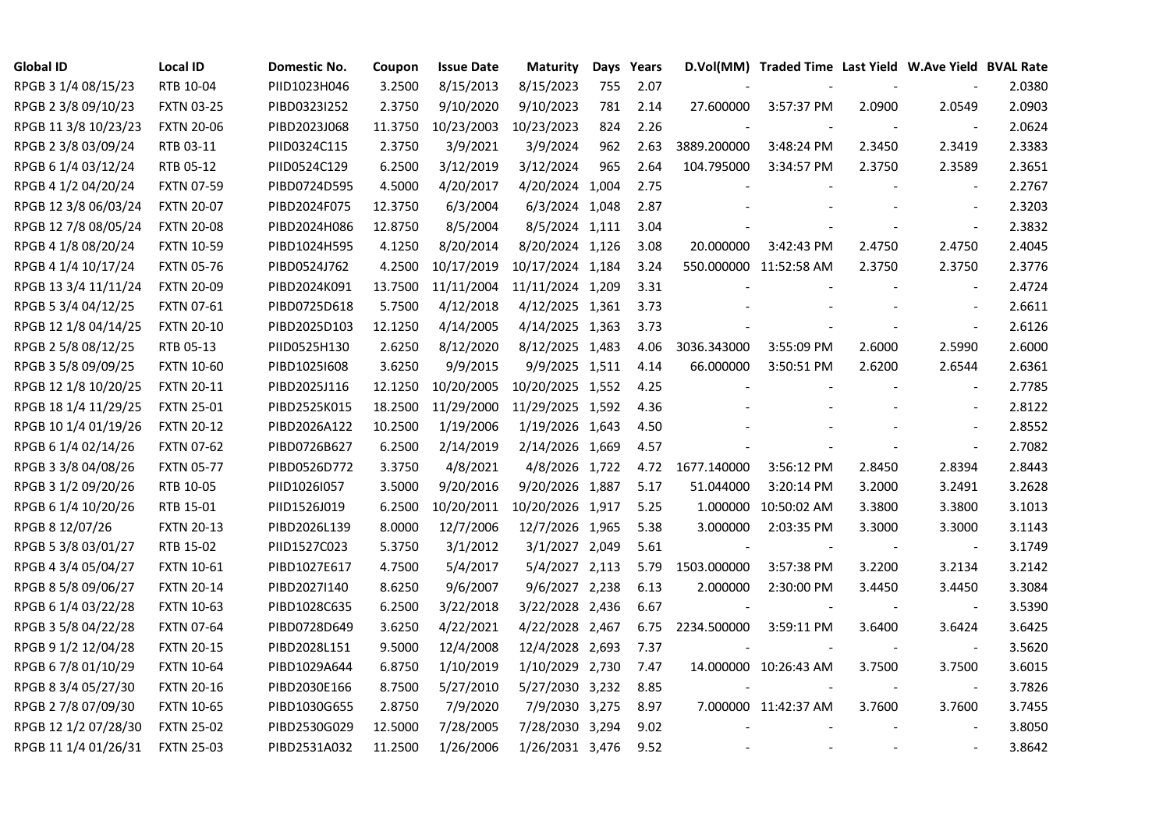| <b>Global ID</b>     | <b>Local ID</b>   | Domestic No. | Coupon  | <b>Issue Date</b> | <b>Maturity</b>  |     | Days Years |             | D.Vol(MM) Traded Time Last Yield W.Ave Yield BVAL Rate |                |                          |        |
|----------------------|-------------------|--------------|---------|-------------------|------------------|-----|------------|-------------|--------------------------------------------------------|----------------|--------------------------|--------|
| RPGB 3 1/4 08/15/23  | RTB 10-04         | PIID1023H046 | 3.2500  | 8/15/2013         | 8/15/2023        | 755 | 2.07       |             |                                                        |                |                          | 2.0380 |
| RPGB 2 3/8 09/10/23  | <b>FXTN 03-25</b> | PIBD0323I252 | 2.3750  | 9/10/2020         | 9/10/2023        | 781 | 2.14       | 27.600000   | 3:57:37 PM                                             | 2.0900         | 2.0549                   | 2.0903 |
| RPGB 11 3/8 10/23/23 | <b>FXTN 20-06</b> | PIBD2023J068 | 11.3750 | 10/23/2003        | 10/23/2023       | 824 | 2.26       |             |                                                        |                | $\blacksquare$           | 2.0624 |
| RPGB 2 3/8 03/09/24  | RTB 03-11         | PIID0324C115 | 2.3750  | 3/9/2021          | 3/9/2024         | 962 | 2.63       | 3889.200000 | 3:48:24 PM                                             | 2.3450         | 2.3419                   | 2.3383 |
| RPGB 6 1/4 03/12/24  | RTB 05-12         | PIID0524C129 | 6.2500  | 3/12/2019         | 3/12/2024        | 965 | 2.64       | 104.795000  | 3:34:57 PM                                             | 2.3750         | 2.3589                   | 2.3651 |
| RPGB 4 1/2 04/20/24  | <b>FXTN 07-59</b> | PIBD0724D595 | 4.5000  | 4/20/2017         | 4/20/2024 1,004  |     | 2.75       |             |                                                        |                | $\blacksquare$           | 2.2767 |
| RPGB 12 3/8 06/03/24 | <b>FXTN 20-07</b> | PIBD2024F075 | 12.3750 | 6/3/2004          | 6/3/2024 1,048   |     | 2.87       |             |                                                        |                | $\blacksquare$           | 2.3203 |
| RPGB 12 7/8 08/05/24 | <b>FXTN 20-08</b> | PIBD2024H086 | 12.8750 | 8/5/2004          | 8/5/2024 1,111   |     | 3.04       |             |                                                        |                | $\sim$                   | 2.3832 |
| RPGB 4 1/8 08/20/24  | <b>FXTN 10-59</b> | PIBD1024H595 | 4.1250  | 8/20/2014         | 8/20/2024 1,126  |     | 3.08       | 20.000000   | 3:42:43 PM                                             | 2.4750         | 2.4750                   | 2.4045 |
| RPGB 4 1/4 10/17/24  | <b>FXTN 05-76</b> | PIBD0524J762 | 4.2500  | 10/17/2019        | 10/17/2024 1,184 |     | 3.24       |             | 550.000000 11:52:58 AM                                 | 2.3750         | 2.3750                   | 2.3776 |
| RPGB 13 3/4 11/11/24 | <b>FXTN 20-09</b> | PIBD2024K091 | 13.7500 | 11/11/2004        | 11/11/2024 1,209 |     | 3.31       |             |                                                        |                | $\blacksquare$           | 2.4724 |
| RPGB 5 3/4 04/12/25  | FXTN 07-61        | PIBD0725D618 | 5.7500  | 4/12/2018         | 4/12/2025 1,361  |     | 3.73       |             |                                                        |                | $\blacksquare$           | 2.6611 |
| RPGB 12 1/8 04/14/25 | <b>FXTN 20-10</b> | PIBD2025D103 | 12.1250 | 4/14/2005         | 4/14/2025 1,363  |     | 3.73       |             |                                                        |                | $\omega$                 | 2.6126 |
| RPGB 2 5/8 08/12/25  | RTB 05-13         | PIID0525H130 | 2.6250  | 8/12/2020         | 8/12/2025 1,483  |     | 4.06       | 3036.343000 | 3:55:09 PM                                             | 2.6000         | 2.5990                   | 2.6000 |
| RPGB 3 5/8 09/09/25  | <b>FXTN 10-60</b> | PIBD10251608 | 3.6250  | 9/9/2015          | 9/9/2025 1,511   |     | 4.14       | 66.000000   | 3:50:51 PM                                             | 2.6200         | 2.6544                   | 2.6361 |
| RPGB 12 1/8 10/20/25 | <b>FXTN 20-11</b> | PIBD2025J116 | 12.1250 | 10/20/2005        | 10/20/2025 1,552 |     | 4.25       |             |                                                        |                |                          | 2.7785 |
| RPGB 18 1/4 11/29/25 | <b>FXTN 25-01</b> | PIBD2525K015 | 18.2500 | 11/29/2000        | 11/29/2025 1,592 |     | 4.36       |             |                                                        |                | $\overline{\phantom{a}}$ | 2.8122 |
| RPGB 10 1/4 01/19/26 | <b>FXTN 20-12</b> | PIBD2026A122 | 10.2500 | 1/19/2006         | 1/19/2026 1,643  |     | 4.50       |             |                                                        |                | $\blacksquare$           | 2.8552 |
| RPGB 6 1/4 02/14/26  | <b>FXTN 07-62</b> | PIBD0726B627 | 6.2500  | 2/14/2019         | 2/14/2026 1,669  |     | 4.57       |             |                                                        |                | $\blacksquare$           | 2.7082 |
| RPGB 3 3/8 04/08/26  | <b>FXTN 05-77</b> | PIBD0526D772 | 3.3750  | 4/8/2021          | 4/8/2026 1,722   |     | 4.72       | 1677.140000 | 3:56:12 PM                                             | 2.8450         | 2.8394                   | 2.8443 |
| RPGB 3 1/2 09/20/26  | RTB 10-05         | PIID1026I057 | 3.5000  | 9/20/2016         | 9/20/2026 1,887  |     | 5.17       | 51.044000   | 3:20:14 PM                                             | 3.2000         | 3.2491                   | 3.2628 |
| RPGB 6 1/4 10/20/26  | RTB 15-01         | PIID1526J019 | 6.2500  | 10/20/2011        | 10/20/2026 1,917 |     | 5.25       |             | 1.000000 10:50:02 AM                                   | 3.3800         | 3.3800                   | 3.1013 |
| RPGB 8 12/07/26      | <b>FXTN 20-13</b> | PIBD2026L139 | 8.0000  | 12/7/2006         | 12/7/2026 1,965  |     | 5.38       | 3.000000    | 2:03:35 PM                                             | 3.3000         | 3.3000                   | 3.1143 |
| RPGB 5 3/8 03/01/27  | RTB 15-02         | PIID1527C023 | 5.3750  | 3/1/2012          | 3/1/2027 2,049   |     | 5.61       |             |                                                        |                |                          | 3.1749 |
| RPGB 4 3/4 05/04/27  | <b>FXTN 10-61</b> | PIBD1027E617 | 4.7500  | 5/4/2017          | 5/4/2027 2,113   |     | 5.79       | 1503.000000 | 3:57:38 PM                                             | 3.2200         | 3.2134                   | 3.2142 |
| RPGB 8 5/8 09/06/27  | <b>FXTN 20-14</b> | PIBD2027I140 | 8.6250  | 9/6/2007          | 9/6/2027 2,238   |     | 6.13       | 2.000000    | 2:30:00 PM                                             | 3.4450         | 3.4450                   | 3.3084 |
| RPGB 6 1/4 03/22/28  | <b>FXTN 10-63</b> | PIBD1028C635 | 6.2500  | 3/22/2018         | 3/22/2028 2,436  |     | 6.67       |             |                                                        |                | $\overline{\phantom{a}}$ | 3.5390 |
| RPGB 3 5/8 04/22/28  | <b>FXTN 07-64</b> | PIBD0728D649 | 3.6250  | 4/22/2021         | 4/22/2028 2,467  |     | 6.75       | 2234.500000 | 3:59:11 PM                                             | 3.6400         | 3.6424                   | 3.6425 |
| RPGB 9 1/2 12/04/28  | <b>FXTN 20-15</b> | PIBD2028L151 | 9.5000  | 12/4/2008         | 12/4/2028 2,693  |     | 7.37       |             |                                                        |                | $\overline{\phantom{a}}$ | 3.5620 |
| RPGB 67/8 01/10/29   | <b>FXTN 10-64</b> | PIBD1029A644 | 6.8750  | 1/10/2019         | 1/10/2029 2,730  |     | 7.47       |             | 14.000000 10:26:43 AM                                  | 3.7500         | 3.7500                   | 3.6015 |
| RPGB 8 3/4 05/27/30  | <b>FXTN 20-16</b> | PIBD2030E166 | 8.7500  | 5/27/2010         | 5/27/2030 3,232  |     | 8.85       |             |                                                        |                | $\overline{\phantom{a}}$ | 3.7826 |
| RPGB 2 7/8 07/09/30  | <b>FXTN 10-65</b> | PIBD1030G655 | 2.8750  | 7/9/2020          | 7/9/2030 3,275   |     | 8.97       |             | 7.000000 11:42:37 AM                                   | 3.7600         | 3.7600                   | 3.7455 |
| RPGB 12 1/2 07/28/30 | <b>FXTN 25-02</b> | PIBD2530G029 | 12.5000 | 7/28/2005         | 7/28/2030 3,294  |     | 9.02       |             |                                                        |                | $\blacksquare$           | 3.8050 |
| RPGB 11 1/4 01/26/31 | <b>FXTN 25-03</b> | PIBD2531A032 | 11.2500 | 1/26/2006         | 1/26/2031 3,476  |     | 9.52       |             |                                                        | $\blacksquare$ | $\sim$                   | 3.8642 |